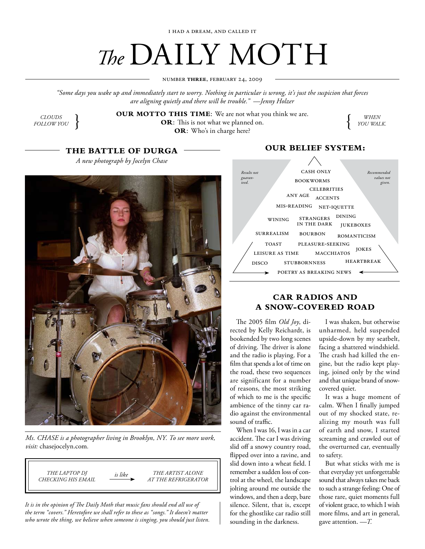# *The* DAILY MOTH

number **three**, february 24, 2009

*"Some days you wake up and immediately start to worry. Nothing in particular is wrong, it's just the suspicion that forces are aligning quietly and there will be trouble." —Jenny Holzer*

*clouds follow you*

**OR**: This is not what we planned on. **OUR MOTTO THIS TIME**: We are not what you think we are.<br> **OR:** This is not what we planned on.<br> **OR:** Who's in charge here? **OR**: Who's in charge here?

*when*

# **The battle of durga**

*A new photograph by Jocelyn Chase*



*Ms. Chase is a photographer living in Brooklyn, NY. To see more work, visit:* chasejocelyn.com*.*

*the laptop dj checking his email the artist alone at the refrigerator is like*

*It is in the opinion of The Daily Moth that music fans should end all use of the term "covers." Heretofore we shall refer to these as "songs." It doesn't matter who wrote the thing, we believe when someone is singing, you should just listen.*

## **our belief system:**



## **car radios and a snow-covered road**

The 2005 film *Old Joy*, directed by Kelly Reichardt, is bookended by two long scenes of driving. The driver is alone and the radio is playing. For a film that spends a lot of time on the road, these two sequences are significant for a number of reasons, the most striking of which to me is the specific ambience of the tinny car radio against the environmental sound of traffic.

When I was 16, I was in a car accident. The car I was driving slid off a snowy country road, flipped over into a ravine, and slid down into a wheat field. I remember a sudden loss of control at the wheel, the landscape jolting around me outside the windows, and then a deep, bare silence. Silent, that is, except for the ghostlike car radio still sounding in the darkness.

I was shaken, but otherwise unharmed, held suspended upside-down by my seatbelt, facing a shattered windshield. The crash had killed the engine, but the radio kept playing, joined only by the wind and that unique brand of snowcovered quiet.

It was a huge moment of calm. When I finally jumped out of my shocked state, realizing my mouth was full of earth and snow, I started screaming and crawled out of the overturned car, eventually to safety.

But what sticks with me is that everyday yet unforgettable sound that always takes me back to such a strange feeling: One of those rare, quiet moments full of violent grace, to which I wish more films, and art in general, gave attention. *—T.*